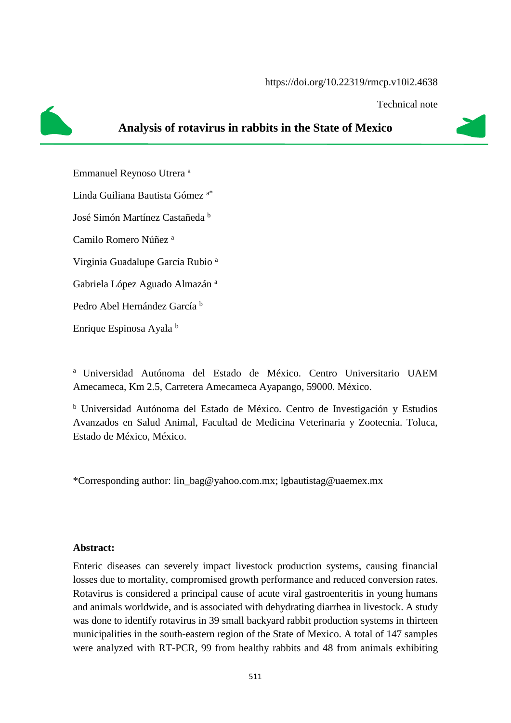Technical note



## **Analysis of rotavirus in rabbits in the State of Mexico**

Emmanuel Reynoso Utrera <sup>a</sup> Linda Guiliana Bautista Gómez a\* José Simón Martínez Castañeda <sup>b</sup> Camilo Romero Núñez <sup>a</sup> Virginia Guadalupe García Rubio <sup>a</sup> Gabriela López Aguado Almazán <sup>a</sup> Pedro Abel Hernández García <sup>b</sup> Enrique Espinosa Ayala <sup>b</sup>

<sup>a</sup> Universidad Autónoma del Estado de México. Centro Universitario UAEM Amecameca, Km 2.5, Carretera Amecameca Ayapango, 59000. México.

<sup>b</sup> Universidad Autónoma del Estado de México. Centro de Investigación y Estudios Avanzados en Salud Animal, Facultad de Medicina Veterinaria y Zootecnia. Toluca, Estado de México, México.

\*Corresponding author: [lin\\_bag@yahoo.com.mx;](mailto:lin_bag@yahoo.com.mx) [lgbautistag@uaemex.mx](mailto:lgbautistag@uaemex.mx)

## **Abstract:**

Enteric diseases can severely impact livestock production systems, causing financial losses due to mortality, compromised growth performance and reduced conversion rates. Rotavirus is considered a principal cause of acute viral gastroenteritis in young humans and animals worldwide, and is associated with dehydrating diarrhea in livestock. A study was done to identify rotavirus in 39 small backyard rabbit production systems in thirteen municipalities in the south-eastern region of the State of Mexico. A total of 147 samples were analyzed with RT-PCR, 99 from healthy rabbits and 48 from animals exhibiting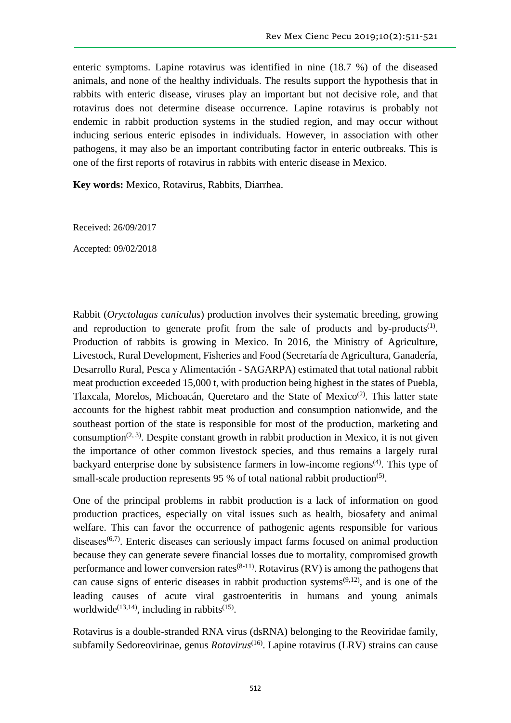enteric symptoms. Lapine rotavirus was identified in nine (18.7 %) of the diseased animals, and none of the healthy individuals. The results support the hypothesis that in rabbits with enteric disease, viruses play an important but not decisive role, and that rotavirus does not determine disease occurrence. Lapine rotavirus is probably not endemic in rabbit production systems in the studied region, and may occur without inducing serious enteric episodes in individuals. However, in association with other pathogens, it may also be an important contributing factor in enteric outbreaks. This is one of the first reports of rotavirus in rabbits with enteric disease in Mexico.

**Key words:** Mexico, Rotavirus, Rabbits, Diarrhea.

Received: 26/09/2017

Accepted: 09/02/2018

Rabbit (*Oryctolagus cuniculus*) production involves their systematic breeding, growing and reproduction to generate profit from the sale of products and by-products<sup>(1)</sup>. Production of rabbits is growing in Mexico. In 2016, the Ministry of Agriculture, Livestock, Rural Development, Fisheries and Food (Secretaría de Agricultura, Ganadería, Desarrollo Rural, Pesca y Alimentación - SAGARPA) estimated that total national rabbit meat production exceeded 15,000 t, with production being highest in the states of Puebla, Tlaxcala, Morelos, Michoacán, Queretaro and the State of Mexico<sup>(2)</sup>. This latter state accounts for the highest rabbit meat production and consumption nationwide, and the southeast portion of the state is responsible for most of the production, marketing and consumption<sup> $(2, 3)$ </sup>. Despite constant growth in rabbit production in Mexico, it is not given the importance of other common livestock species, and thus remains a largely rural backyard enterprise done by subsistence farmers in low-income regions<sup> $(4)$ </sup>. This type of small-scale production represents 95  $%$  of total national rabbit production<sup>(5)</sup>.

One of the principal problems in rabbit production is a lack of information on good production practices, especially on vital issues such as health, biosafety and animal welfare. This can favor the occurrence of pathogenic agents responsible for various  $diseases<sup>(6,7)</sup>$ . Enteric diseases can seriously impact farms focused on animal production because they can generate severe financial losses due to mortality, compromised growth performance and lower conversion rates  $(8-11)$ . Rotavirus (RV) is among the pathogens that can cause signs of enteric diseases in rabbit production systems<sup> $(9,12)$ </sup>, and is one of the leading causes of acute viral gastroenteritis in humans and young animals worldwide<sup>(13,14)</sup>, including in rabbits<sup>(15)</sup>.

Rotavirus is a double-stranded RNA virus (dsRNA) belonging to the Reoviridae family, subfamily Sedoreovirinae, genus *Rotavirus*<sup>(16)</sup>. Lapine rotavirus (LRV) strains can cause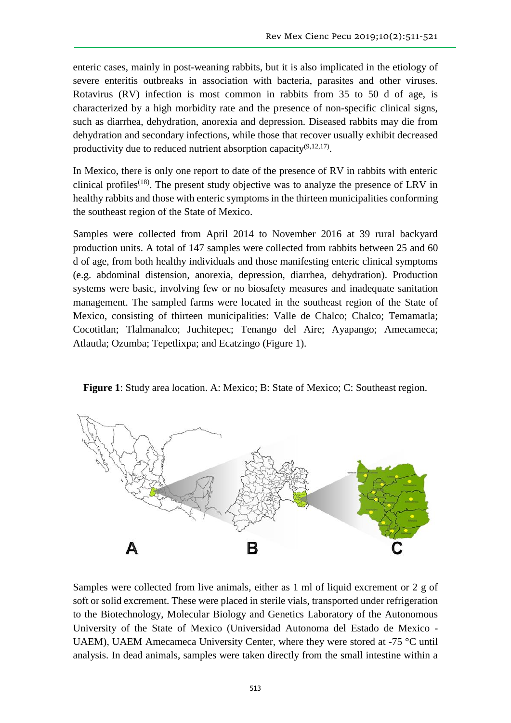enteric cases, mainly in post-weaning rabbits, but it is also implicated in the etiology of severe enteritis outbreaks in association with bacteria, parasites and other viruses. Rotavirus (RV) infection is most common in rabbits from 35 to 50 d of age, is characterized by a high morbidity rate and the presence of non-specific clinical signs, such as diarrhea, dehydration, anorexia and depression. Diseased rabbits may die from dehydration and secondary infections, while those that recover usually exhibit decreased productivity due to reduced nutrient absorption capacity<sup>(9,12,17)</sup>.

In Mexico, there is only one report to date of the presence of RV in rabbits with enteric clinical profiles<sup> $(18)$ </sup>. The present study objective was to analyze the presence of LRV in healthy rabbits and those with enteric symptoms in the thirteen municipalities conforming the southeast region of the State of Mexico.

Samples were collected from April 2014 to November 2016 at 39 rural backyard production units. A total of 147 samples were collected from rabbits between 25 and 60 d of age, from both healthy individuals and those manifesting enteric clinical symptoms (e.g. abdominal distension, anorexia, depression, diarrhea, dehydration). Production systems were basic, involving few or no biosafety measures and inadequate sanitation management. The sampled farms were located in the southeast region of the State of Mexico, consisting of thirteen municipalities: Valle de Chalco; Chalco; Temamatla; Cocotitlan; Tlalmanalco; Juchitepec; Tenango del Aire; Ayapango; Amecameca; Atlautla; Ozumba; Tepetlixpa; and Ecatzingo (Figure 1).





Samples were collected from live animals, either as 1 ml of liquid excrement or 2 g of soft or solid excrement. These were placed in sterile vials, transported under refrigeration to the Biotechnology, Molecular Biology and Genetics Laboratory of the Autonomous University of the State of Mexico (Universidad Autonoma del Estado de Mexico - UAEM), UAEM Amecameca University Center, where they were stored at -75 °C until analysis. In dead animals, samples were taken directly from the small intestine within a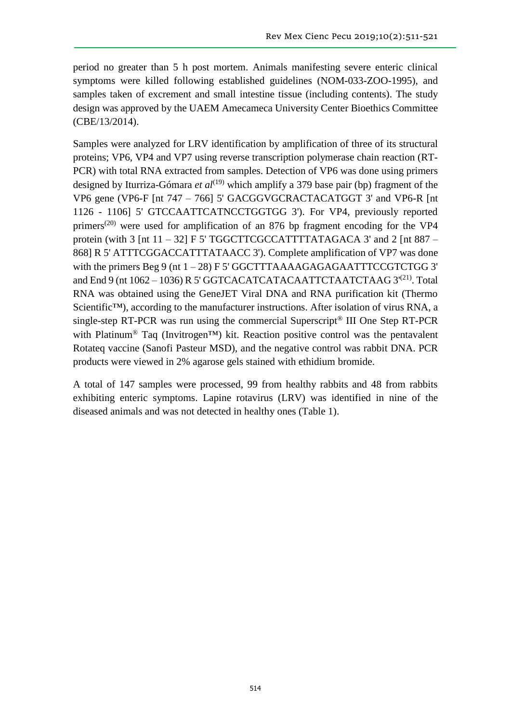period no greater than 5 h post mortem. Animals manifesting severe enteric clinical symptoms were killed following established guidelines (NOM-033-ZOO-1995), and samples taken of excrement and small intestine tissue (including contents). The study design was approved by the UAEM Amecameca University Center Bioethics Committee (CBE/13/2014).

Samples were analyzed for LRV identification by amplification of three of its structural proteins; VP6, VP4 and VP7 using reverse transcription polymerase chain reaction (RT-PCR) with total RNA extracted from samples. Detection of VP6 was done using primers designed by Iturriza-Gómara *et al*<sup>(19)</sup> which amplify a 379 base pair (bp) fragment of the VP6 gene (VP6-F [nt 747 – 766] 5' GACGGVGCRACTACATGGT 3' and VP6-R [nt 1126 - 1106] 5' GTCCAATTCATNCCTGGTGG 3'). For VP4, previously reported primers(20) were used for amplification of an 876 bp fragment encoding for the VP4 protein (with 3 [nt  $11 - 32$ ] F 5' TGGCTTCGCCATTTTATAGACA 3' and 2 [nt 887 – 868] R 5' ATTTCGGACCATTTATAACC 3'). Complete amplification of VP7 was done with the primers Beg 9 (nt  $1 - 28$ ) F 5' GGCTTTAAAAGAGAGAATTTCCGTCTGG 3' and End 9 (nt 1062 - 1036) R 5' GGTCACATCATACAATTCTAATCTAAG 3<sup>'(21)</sup>. Total RNA was obtained using the GeneJET Viral DNA and RNA purification kit (Thermo Scientific<sup>™</sup>), according to the manufacturer instructions. After isolation of virus RNA, a single-step RT-PCR was run using the commercial Superscript® III One Step RT-PCR with Platinum<sup>®</sup> Taq (Invitrogen<sup>™</sup>) kit. Reaction positive control was the pentavalent Rotateq vaccine (Sanofi Pasteur MSD), and the negative control was rabbit DNA. PCR products were viewed in 2% agarose gels stained with ethidium bromide.

A total of 147 samples were processed, 99 from healthy rabbits and 48 from rabbits exhibiting enteric symptoms. Lapine rotavirus (LRV) was identified in nine of the diseased animals and was not detected in healthy ones (Table 1).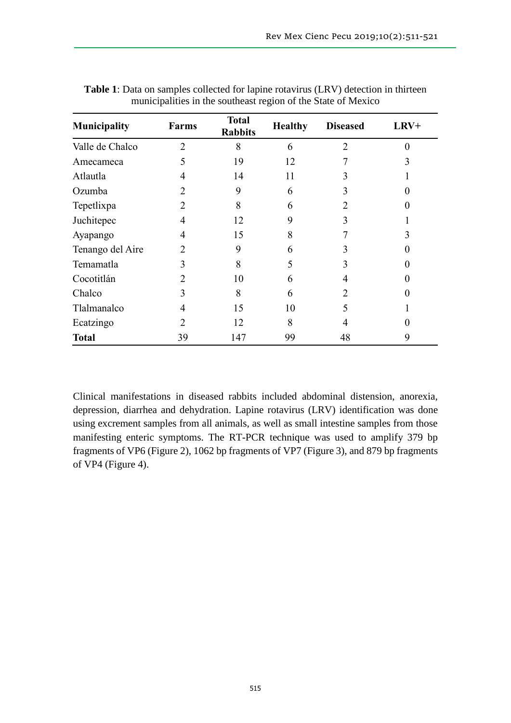| Municipality     | <b>Farms</b>   | <b>Total</b><br><b>Rabbits</b> | <b>Healthy</b> | <b>Diseased</b> | LRV+ |
|------------------|----------------|--------------------------------|----------------|-----------------|------|
| Valle de Chalco  | $\overline{2}$ | 8                              | 6              | $\overline{2}$  | 0    |
| Amecameca        | 5              | 19                             | 12             |                 | 3    |
| Atlautla         | 4              | 14                             | 11             |                 |      |
| Ozumba           | $\overline{2}$ | 9                              | 6              |                 |      |
| Tepetlixpa       | 2              | 8                              | 6              |                 |      |
| Juchitepec       | 4              | 12                             | 9              |                 |      |
| Ayapango         | 4              | 15                             | 8              |                 | 3    |
| Tenango del Aire | 2              | 9                              | 6              | 3               |      |
| Temamatla        | 3              | 8                              | 5              |                 |      |
| Cocotitlán       | 2              | 10                             | 6              |                 |      |
| Chalco           | 3              | 8                              | 6              | 2               |      |
| Tlalmanalco      | 4              | 15                             | 10             |                 |      |
| Ecatzingo        | 2              | 12                             | 8              |                 |      |
| <b>Total</b>     | 39             | 147                            | 99             | 48              | 9    |

**Table 1**: Data on samples collected for lapine rotavirus (LRV) detection in thirteen municipalities in the southeast region of the State of Mexico

Clinical manifestations in diseased rabbits included abdominal distension, anorexia, depression, diarrhea and dehydration. Lapine rotavirus (LRV) identification was done using excrement samples from all animals, as well as small intestine samples from those manifesting enteric symptoms. The RT-PCR technique was used to amplify 379 bp fragments of VP6 (Figure 2), 1062 bp fragments of VP7 (Figure 3), and 879 bp fragments of VP4 (Figure 4).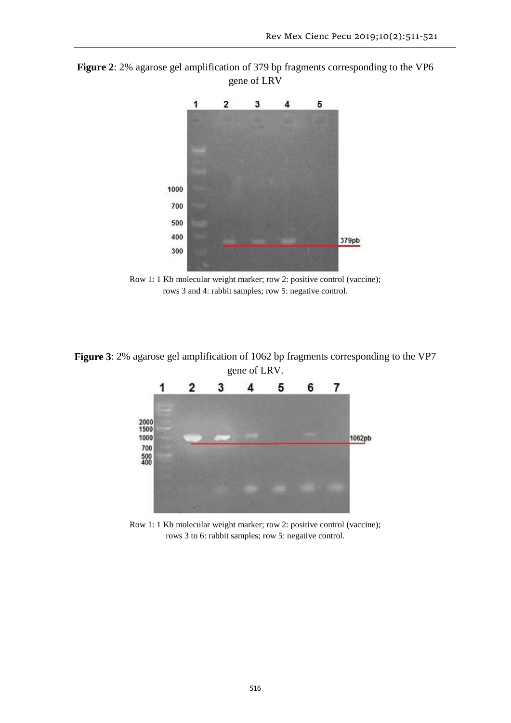**Figure 2**: 2% agarose gel amplification of 379 bp fragments corresponding to the VP6 gene of LRV



Row 1: 1 Kb molecular weight marker; row 2: positive control (vaccine); rows 3 and 4: rabbit samples; row 5: negative control.

**Figure 3**: 2% agarose gel amplification of 1062 bp fragments corresponding to the VP7 gene of LRV.



Row 1: 1 Kb molecular weight marker; row 2: positive control (vaccine); rows 3 to 6: rabbit samples; row 5: negative control.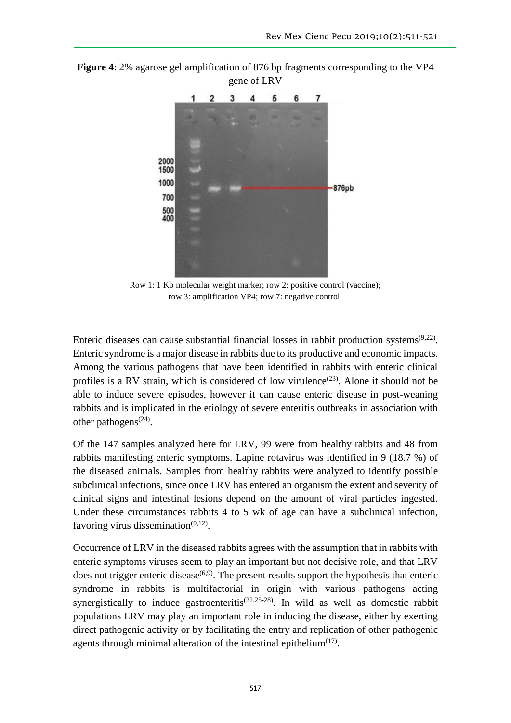

**Figure 4**: 2% agarose gel amplification of 876 bp fragments corresponding to the VP4 gene of LRV

Row 1: 1 Kb molecular weight marker; row 2: positive control (vaccine); row 3: amplification VP4; row 7: negative control.

Enteric diseases can cause substantial financial losses in rabbit production systems $(9,22)$ . Enteric syndrome is a major disease in rabbits due to its productive and economic impacts. Among the various pathogens that have been identified in rabbits with enteric clinical profiles is a RV strain, which is considered of low virulence<sup> $(23)$ </sup>. Alone it should not be able to induce severe episodes, however it can cause enteric disease in post-weaning rabbits and is implicated in the etiology of severe enteritis outbreaks in association with other pathogens<sup> $(24)$ </sup>.

Of the 147 samples analyzed here for LRV, 99 were from healthy rabbits and 48 from rabbits manifesting enteric symptoms. Lapine rotavirus was identified in 9 (18.7 %) of the diseased animals. Samples from healthy rabbits were analyzed to identify possible subclinical infections, since once LRV has entered an organism the extent and severity of clinical signs and intestinal lesions depend on the amount of viral particles ingested. Under these circumstances rabbits 4 to 5 wk of age can have a subclinical infection, favoring virus dissemination $(9,12)$ .

Occurrence of LRV in the diseased rabbits agrees with the assumption that in rabbits with enteric symptoms viruses seem to play an important but not decisive role, and that LRV does not trigger enteric disease $(6,9)$ . The present results support the hypothesis that enteric syndrome in rabbits is multifactorial in origin with various pathogens acting synergistically to induce gastroenteritis<sup> $(22,25-28)$ </sup>. In wild as well as domestic rabbit populations LRV may play an important role in inducing the disease, either by exerting direct pathogenic activity or by facilitating the entry and replication of other pathogenic agents through minimal alteration of the intestinal epithelium $(17)$ .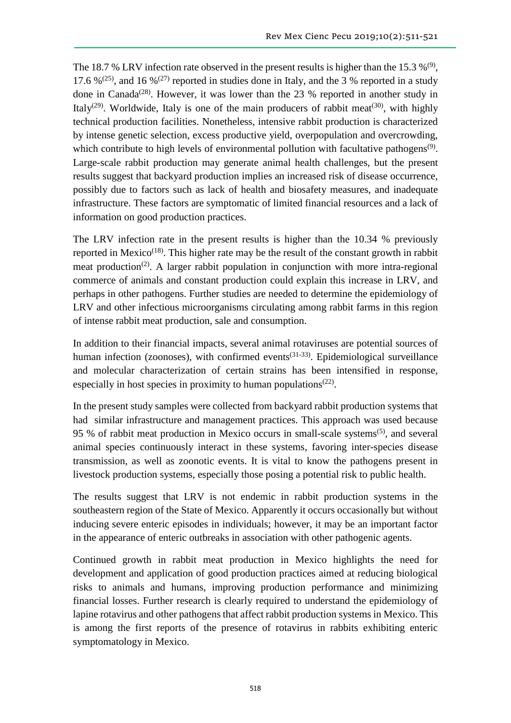The 18.7 % LRV infection rate observed in the present results is higher than the 15.3 %<sup>(9)</sup>, 17.6 %<sup>(25)</sup>, and 16 %<sup>(27)</sup> reported in studies done in Italy, and the 3 % reported in a study done in Canada<sup>(28)</sup>. However, it was lower than the 23 % reported in another study in Italy<sup>(29)</sup>. Worldwide, Italy is one of the main producers of rabbit meat<sup>(30)</sup>, with highly technical production facilities. Nonetheless, intensive rabbit production is characterized by intense genetic selection, excess productive yield, overpopulation and overcrowding, which contribute to high levels of environmental pollution with facultative pathogens<sup>(9)</sup>. Large-scale rabbit production may generate animal health challenges, but the present results suggest that backyard production implies an increased risk of disease occurrence, possibly due to factors such as lack of health and biosafety measures, and inadequate infrastructure. These factors are symptomatic of limited financial resources and a lack of information on good production practices.

The LRV infection rate in the present results is higher than the 10.34 % previously reported in Mexico<sup> $(18)$ </sup>. This higher rate may be the result of the constant growth in rabbit meat production<sup>(2)</sup>. A larger rabbit population in conjunction with more intra-regional commerce of animals and constant production could explain this increase in LRV, and perhaps in other pathogens. Further studies are needed to determine the epidemiology of LRV and other infectious microorganisms circulating among rabbit farms in this region of intense rabbit meat production, sale and consumption.

In addition to their financial impacts, several animal rotaviruses are potential sources of human infection (zoonoses), with confirmed events<sup>(31-33)</sup>. Epidemiological surveillance and molecular characterization of certain strains has been intensified in response, especially in host species in proximity to human populations<sup>(22)</sup>.

In the present study samples were collected from backyard rabbit production systems that had similar infrastructure and management practices. This approach was used because 95 % of rabbit meat production in Mexico occurs in small-scale systems<sup>(5)</sup>, and several animal species continuously interact in these systems, favoring inter-species disease transmission, as well as zoonotic events. It is vital to know the pathogens present in livestock production systems, especially those posing a potential risk to public health.

The results suggest that LRV is not endemic in rabbit production systems in the southeastern region of the State of Mexico. Apparently it occurs occasionally but without inducing severe enteric episodes in individuals; however, it may be an important factor in the appearance of enteric outbreaks in association with other pathogenic agents.

Continued growth in rabbit meat production in Mexico highlights the need for development and application of good production practices aimed at reducing biological risks to animals and humans, improving production performance and minimizing financial losses. Further research is clearly required to understand the epidemiology of lapine rotavirus and other pathogens that affect rabbit production systems in Mexico. This is among the first reports of the presence of rotavirus in rabbits exhibiting enteric symptomatology in Mexico.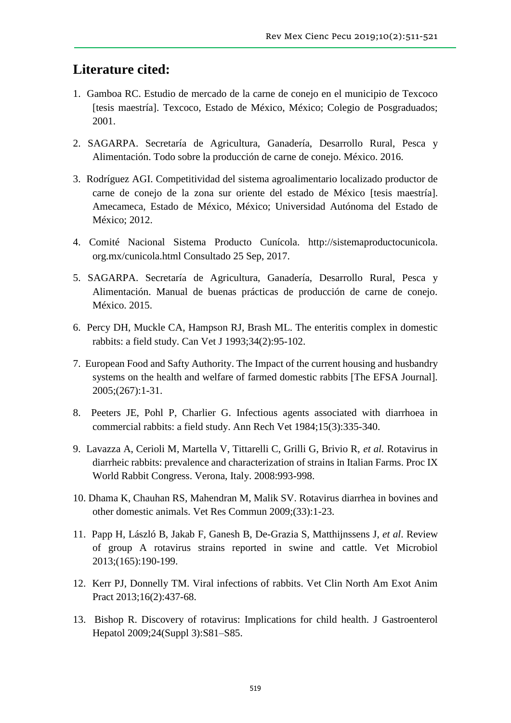## **Literature cited:**

- 1. Gamboa RC. Estudio de mercado de la carne de conejo en el municipio de Texcoco [tesis maestría]. Texcoco, Estado de México, México; Colegio de Posgraduados; 2001.
- 2. SAGARPA. Secretaría de Agricultura, Ganadería, Desarrollo Rural, Pesca y Alimentación. Todo sobre la producción de carne de conejo. México. 2016.
- 3. Rodríguez AGI. Competitividad del sistema agroalimentario localizado productor de carne de conejo de la zona sur oriente del estado de México [tesis maestría]. Amecameca, Estado de México, México; Universidad Autónoma del Estado de México; 2012.
- 4. Comité Nacional Sistema Producto Cunícola. http://sistemaproductocunicola. org.mx/cunicola.html Consultado 25 Sep, 2017.
- 5. SAGARPA. Secretaría de Agricultura, Ganadería, Desarrollo Rural, Pesca y Alimentación. Manual de buenas prácticas de producción de carne de conejo. México. 2015.
- 6. Percy DH, Muckle CA, Hampson RJ, Brash ML. The enteritis complex in domestic rabbits: a field study. Can Vet J 1993;34(2):95-102.
- 7. European Food and Safty Authority. The Impact of the current housing and husbandry systems on the health and welfare of farmed domestic rabbits [The EFSA Journal]. 2005;(267):1-31.
- 8. Peeters JE, Pohl P, Charlier G. Infectious agents associated with diarrhoea in commercial rabbits: a field study. Ann Rech Vet 1984;15(3):335-340.
- 9. Lavazza A, Cerioli M, Martella V, Tittarelli C, Grilli G, Brivio R, *et al.* Rotavirus in diarrheic rabbits: prevalence and characterization of strains in Italian Farms. Proc IX World Rabbit Congress. Verona, Italy. 2008:993-998.
- 10. Dhama K, Chauhan RS, Mahendran M, Malik SV. Rotavirus diarrhea in bovines and other domestic animals. Vet Res Commun 2009;(33):1-23.
- 11. Papp H, László B, Jakab F, Ganesh B, De-Grazia S, Matthijnssens J, *et al*. Review of group A rotavirus strains reported in swine and cattle. Vet Microbiol 2013;(165):190-199.
- 12. Kerr PJ, Donnelly TM. Viral infections of rabbits. Vet Clin North Am Exot Anim Pract 2013;16(2):437-68.
- 13. Bishop R. Discovery of rotavirus: Implications for child health. J Gastroenterol Hepatol 2009;24(Suppl 3):S81–S85.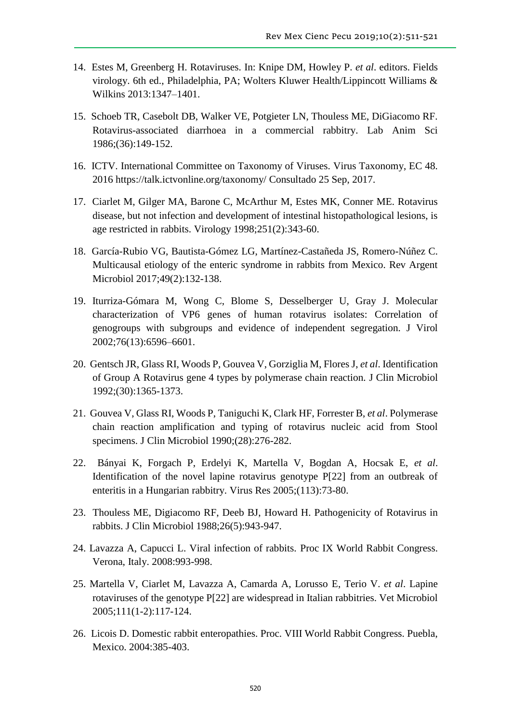- 14. Estes M, Greenberg H. Rotaviruses. In: Knipe DM, Howley P. *et al*. editors. Fields virology. 6th ed., Philadelphia, PA; Wolters Kluwer Health/Lippincott Williams & Wilkins 2013:1347–1401.
- 15. Schoeb TR, Casebolt DB, Walker VE, Potgieter LN, Thouless ME, DiGiacomo RF. Rotavirus-associated diarrhoea in a commercial rabbitry. Lab Anim Sci 1986;(36):149-152.
- 16. ICTV. International Committee on Taxonomy of Viruses. Virus Taxonomy, EC 48. 2016<https://talk.ictvonline.org/taxonomy/> Consultado 25 Sep, 2017.
- 17. Ciarlet M, Gilger MA, Barone C, McArthur M, Estes MK, Conner ME. Rotavirus disease, but not infection and development of intestinal histopathological lesions, is age restricted in rabbits. Virology 1998;251(2):343-60.
- 18. García-Rubio VG, Bautista-Gómez LG, Martínez-Castañeda JS, Romero-Núñez C. Multicausal etiology of the enteric syndrome in rabbits from Mexico. Rev Argent Microbiol 2017;49(2):132-138.
- 19. Iturriza-Gómara M, Wong C, Blome S, Desselberger U, Gray J. Molecular characterization of VP6 genes of human rotavirus isolates: Correlation of genogroups with subgroups and evidence of independent segregation. J Virol 2002;76(13):6596–6601.
- 20. Gentsch JR, Glass RI, Woods P, Gouvea V, Gorziglia M, Flores J, *et al*. Identification of Group A Rotavirus gene 4 types by polymerase chain reaction. J Clin Microbiol 1992;(30):1365-1373.
- 21. Gouvea V, Glass RI, Woods P, Taniguchi K, Clark HF, Forrester B, *et al*. Polymerase chain reaction amplification and typing of rotavirus nucleic acid from Stool specimens. J Clin Microbiol 1990;(28):276-282.
- 22. Bányai K, Forgach P, Erdelyi K, Martella V, Bogdan A, Hocsak E, *et al*. Identification of the novel lapine rotavirus genotype P[22] from an outbreak of enteritis in a Hungarian rabbitry. Virus Res 2005;(113):73-80.
- 23. Thouless ME, Digiacomo RF, Deeb BJ, Howard H. Pathogenicity of Rotavirus in rabbits. J Clin Microbiol 1988;26(5):943-947.
- 24. Lavazza A, Capucci L. Viral infection of rabbits. Proc IX World Rabbit Congress. Verona, Italy. 2008:993-998.
- 25. Martella V, Ciarlet M, Lavazza A, Camarda A, Lorusso E, Terio V. *et al*. Lapine rotaviruses of the genotype P[22] are widespread in Italian rabbitries. Vet Microbiol 2005;111(1-2):117-124.
- 26. Licois D. Domestic rabbit enteropathies. Proc. VIII World Rabbit Congress. Puebla, Mexico. 2004:385-403.